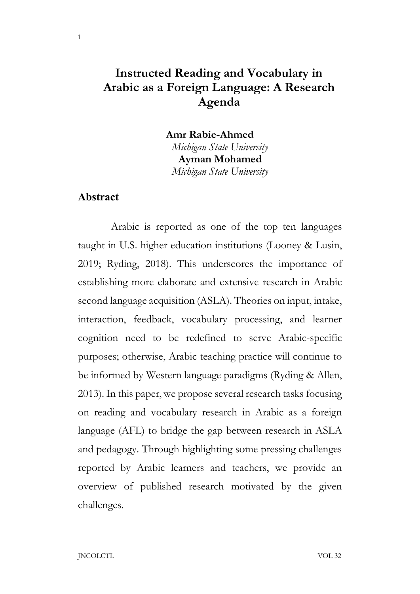## Instructed Reading and Vocabulary in Arabic as a Foreign Language: A Research Agenda

Amr Rabie-Ahmed Michigan State University Ayman Mohamed Michigan State University

### Abstract

1

 Arabic is reported as one of the top ten languages taught in U.S. higher education institutions (Looney & Lusin, 2019; Ryding, 2018). This underscores the importance of establishing more elaborate and extensive research in Arabic second language acquisition (ASLA). Theories on input, intake, interaction, feedback, vocabulary processing, and learner cognition need to be redefined to serve Arabic-specific purposes; otherwise, Arabic teaching practice will continue to be informed by Western language paradigms (Ryding & Allen, 2013). In this paper, we propose several research tasks focusing on reading and vocabulary research in Arabic as a foreign language (AFL) to bridge the gap between research in ASLA and pedagogy. Through highlighting some pressing challenges reported by Arabic learners and teachers, we provide an overview of published research motivated by the given challenges.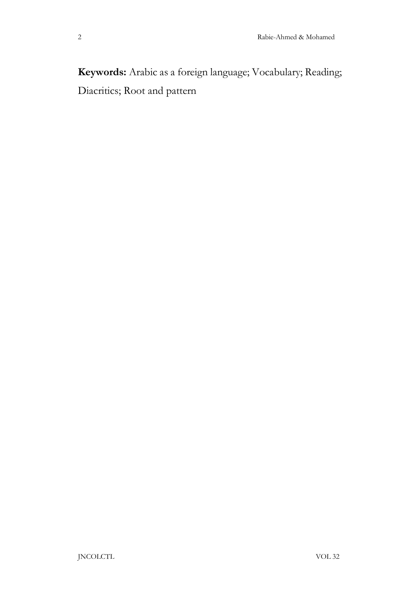Keywords: Arabic as a foreign language; Vocabulary; Reading; Diacritics; Root and pattern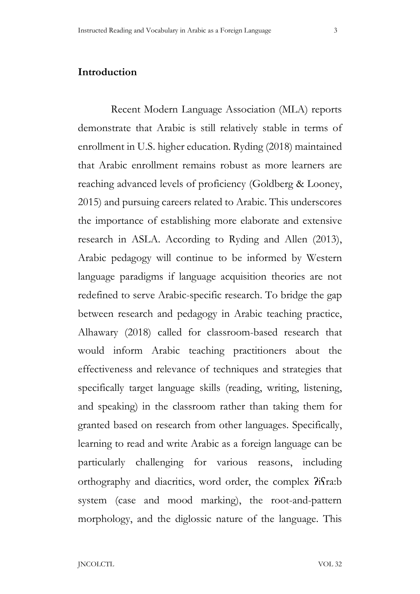### Introduction

 Recent Modern Language Association (MLA) reports demonstrate that Arabic is still relatively stable in terms of enrollment in U.S. higher education. Ryding (2018) maintained that Arabic enrollment remains robust as more learners are reaching advanced levels of proficiency (Goldberg & Looney, 2015) and pursuing careers related to Arabic. This underscores the importance of establishing more elaborate and extensive research in ASLA. According to Ryding and Allen (2013), Arabic pedagogy will continue to be informed by Western language paradigms if language acquisition theories are not redefined to serve Arabic-specific research. To bridge the gap between research and pedagogy in Arabic teaching practice, Alhawary (2018) called for classroom-based research that would inform Arabic teaching practitioners about the effectiveness and relevance of techniques and strategies that specifically target language skills (reading, writing, listening, and speaking) in the classroom rather than taking them for granted based on research from other languages. Specifically, learning to read and write Arabic as a foreign language can be particularly challenging for various reasons, including orthography and diacritics, word order, the complex  $\hat{H}$ fra:b system (case and mood marking), the root-and-pattern morphology, and the diglossic nature of the language. This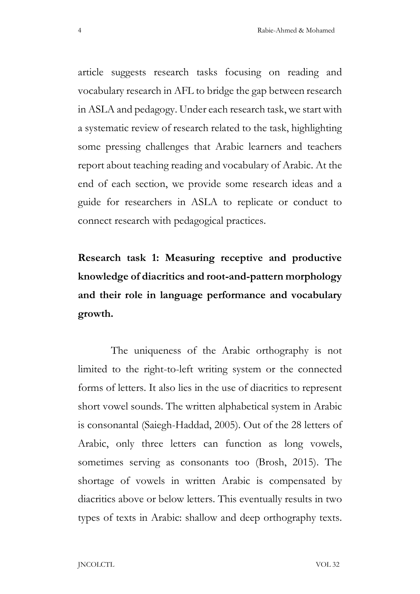article suggests research tasks focusing on reading and vocabulary research in AFL to bridge the gap between research in ASLA and pedagogy. Under each research task, we start with a systematic review of research related to the task, highlighting some pressing challenges that Arabic learners and teachers report about teaching reading and vocabulary of Arabic. At the end of each section, we provide some research ideas and a guide for researchers in ASLA to replicate or conduct to connect research with pedagogical practices.

Research task 1: Measuring receptive and productive knowledge of diacritics and root-and-pattern morphology and their role in language performance and vocabulary growth.

 The uniqueness of the Arabic orthography is not limited to the right-to-left writing system or the connected forms of letters. It also lies in the use of diacritics to represent short vowel sounds. The written alphabetical system in Arabic is consonantal (Saiegh-Haddad, 2005). Out of the 28 letters of Arabic, only three letters can function as long vowels, sometimes serving as consonants too (Brosh, 2015). The shortage of vowels in written Arabic is compensated by diacritics above or below letters. This eventually results in two types of texts in Arabic: shallow and deep orthography texts.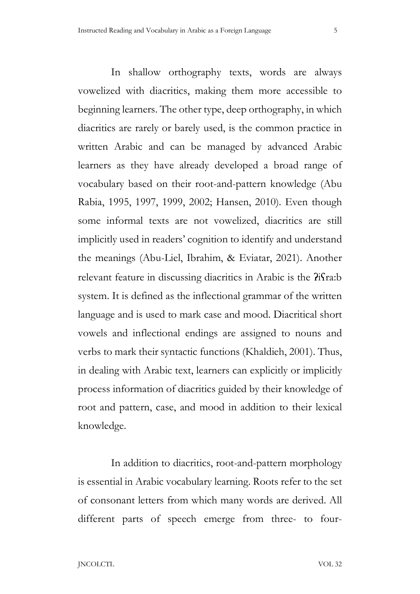In shallow orthography texts, words are always vowelized with diacritics, making them more accessible to beginning learners. The other type, deep orthography, in which diacritics are rarely or barely used, is the common practice in written Arabic and can be managed by advanced Arabic learners as they have already developed a broad range of vocabulary based on their root-and-pattern knowledge (Abu Rabia, 1995, 1997, 1999, 2002; Hansen, 2010). Even though some informal texts are not vowelized, diacritics are still implicitly used in readers' cognition to identify and understand the meanings (Abu-Liel, Ibrahim, & Eviatar, 2021). Another relevant feature in discussing diacritics in Arabic is the  $\frac{2}{r}$ fra:b system. It is defined as the inflectional grammar of the written language and is used to mark case and mood. Diacritical short vowels and inflectional endings are assigned to nouns and verbs to mark their syntactic functions (Khaldieh, 2001). Thus, in dealing with Arabic text, learners can explicitly or implicitly process information of diacritics guided by their knowledge of root and pattern, case, and mood in addition to their lexical knowledge.

 In addition to diacritics, root-and-pattern morphology is essential in Arabic vocabulary learning. Roots refer to the set of consonant letters from which many words are derived. All different parts of speech emerge from three- to four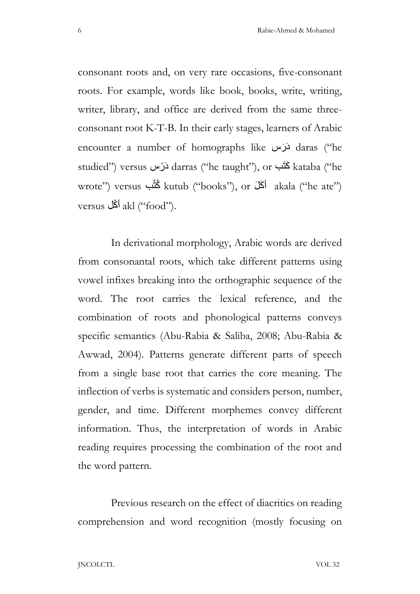consonant roots and, on very rare occasions, five-consonant roots. For example, words like book, books, write, writing, writer, library, and office are derived from the same threeconsonant root K-T-B. In their early stages, learners of Arabic encounter a number of homographs like لَارَس daras ("he studied") versus دَرّس darras ("he taught"), or كَتَب kataba ("he wrote") versus  $\stackrel{\text{(``books'')}{\sim}}{\sim}$  kutub ("books"), or أَكَلَ akala ("he ate") versus أَكُل  $\alpha$ kl ("food").

 In derivational morphology, Arabic words are derived from consonantal roots, which take different patterns using vowel infixes breaking into the orthographic sequence of the word. The root carries the lexical reference, and the combination of roots and phonological patterns conveys specific semantics (Abu-Rabia & Saliba, 2008; Abu-Rabia & Awwad, 2004). Patterns generate different parts of speech from a single base root that carries the core meaning. The inflection of verbs is systematic and considers person, number, gender, and time. Different morphemes convey different information. Thus, the interpretation of words in Arabic reading requires processing the combination of the root and the word pattern.

 Previous research on the effect of diacritics on reading comprehension and word recognition (mostly focusing on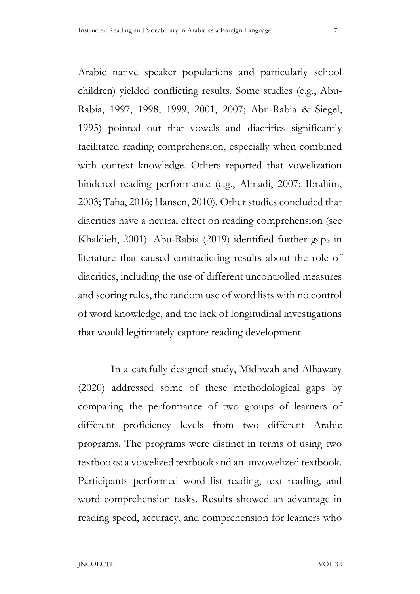Arabic native speaker populations and particularly school children) yielded conflicting results. Some studies (e.g., Abu-Rabia, 1997, 1998, 1999, 2001, 2007; Abu-Rabia & Siegel, 1995) pointed out that vowels and diacritics significantly facilitated reading comprehension, especially when combined with context knowledge. Others reported that vowelization hindered reading performance (e.g., Almadi, 2007; Ibrahim, 2003; Taha, 2016; Hansen, 2010). Other studies concluded that diacritics have a neutral effect on reading comprehension (see Khaldieh, 2001). Abu-Rabia (2019) identified further gaps in literature that caused contradicting results about the role of diacritics, including the use of different uncontrolled measures and scoring rules, the random use of word lists with no control of word knowledge, and the lack of longitudinal investigations that would legitimately capture reading development.

 In a carefully designed study, Midhwah and Alhawary (2020) addressed some of these methodological gaps by comparing the performance of two groups of learners of different proficiency levels from two different Arabic programs. The programs were distinct in terms of using two textbooks: a vowelized textbook and an unvowelized textbook. Participants performed word list reading, text reading, and word comprehension tasks. Results showed an advantage in reading speed, accuracy, and comprehension for learners who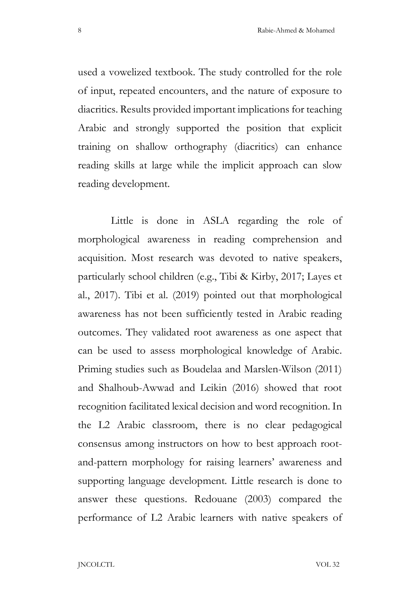used a vowelized textbook. The study controlled for the role of input, repeated encounters, and the nature of exposure to diacritics. Results provided important implications for teaching Arabic and strongly supported the position that explicit training on shallow orthography (diacritics) can enhance reading skills at large while the implicit approach can slow reading development.

 Little is done in ASLA regarding the role of morphological awareness in reading comprehension and acquisition. Most research was devoted to native speakers, particularly school children (e.g., Tibi & Kirby, 2017; Layes et al., 2017). Tibi et al. (2019) pointed out that morphological awareness has not been sufficiently tested in Arabic reading outcomes. They validated root awareness as one aspect that can be used to assess morphological knowledge of Arabic. Priming studies such as Boudelaa and Marslen-Wilson (2011) and Shalhoub-Awwad and Leikin (2016) showed that root recognition facilitated lexical decision and word recognition. In the L2 Arabic classroom, there is no clear pedagogical consensus among instructors on how to best approach rootand-pattern morphology for raising learners' awareness and supporting language development. Little research is done to answer these questions. Redouane (2003) compared the performance of L2 Arabic learners with native speakers of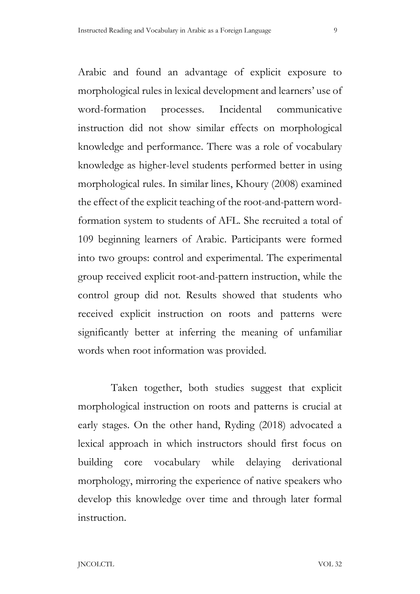Arabic and found an advantage of explicit exposure to morphological rules in lexical development and learners' use of word-formation processes. Incidental communicative instruction did not show similar effects on morphological knowledge and performance. There was a role of vocabulary knowledge as higher-level students performed better in using morphological rules. In similar lines, Khoury (2008) examined the effect of the explicit teaching of the root-and-pattern wordformation system to students of AFL. She recruited a total of 109 beginning learners of Arabic. Participants were formed into two groups: control and experimental. The experimental group received explicit root-and-pattern instruction, while the control group did not. Results showed that students who received explicit instruction on roots and patterns were significantly better at inferring the meaning of unfamiliar words when root information was provided.

 Taken together, both studies suggest that explicit morphological instruction on roots and patterns is crucial at early stages. On the other hand, Ryding (2018) advocated a lexical approach in which instructors should first focus on building core vocabulary while delaying derivational morphology, mirroring the experience of native speakers who develop this knowledge over time and through later formal instruction.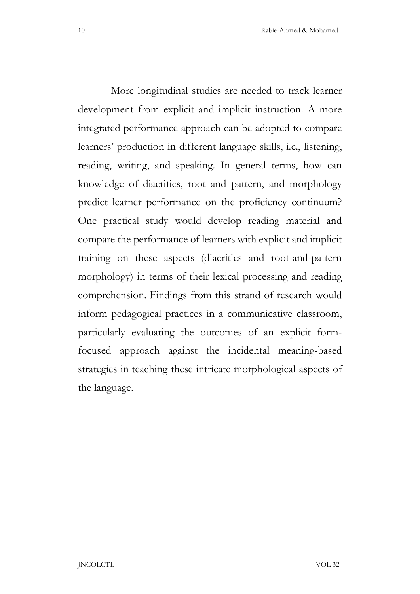More longitudinal studies are needed to track learner development from explicit and implicit instruction. A more integrated performance approach can be adopted to compare learners' production in different language skills, i.e., listening, reading, writing, and speaking. In general terms, how can knowledge of diacritics, root and pattern, and morphology predict learner performance on the proficiency continuum? One practical study would develop reading material and compare the performance of learners with explicit and implicit training on these aspects (diacritics and root-and-pattern morphology) in terms of their lexical processing and reading comprehension. Findings from this strand of research would inform pedagogical practices in a communicative classroom, particularly evaluating the outcomes of an explicit formfocused approach against the incidental meaning-based strategies in teaching these intricate morphological aspects of the language.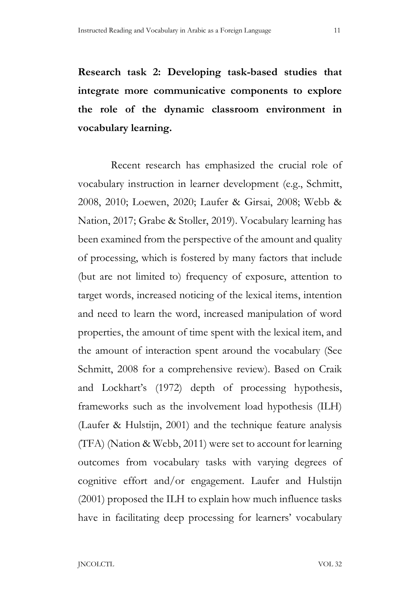Research task 2: Developing task-based studies that integrate more communicative components to explore the role of the dynamic classroom environment in vocabulary learning.

 Recent research has emphasized the crucial role of vocabulary instruction in learner development (e.g., Schmitt, 2008, 2010; Loewen, 2020; Laufer & Girsai, 2008; Webb & Nation, 2017; Grabe & Stoller, 2019). Vocabulary learning has been examined from the perspective of the amount and quality of processing, which is fostered by many factors that include (but are not limited to) frequency of exposure, attention to target words, increased noticing of the lexical items, intention and need to learn the word, increased manipulation of word properties, the amount of time spent with the lexical item, and the amount of interaction spent around the vocabulary (See Schmitt, 2008 for a comprehensive review). Based on Craik and Lockhart's (1972) depth of processing hypothesis, frameworks such as the involvement load hypothesis (ILH) (Laufer & Hulstijn, 2001) and the technique feature analysis (TFA) (Nation & Webb, 2011) were set to account for learning outcomes from vocabulary tasks with varying degrees of cognitive effort and/or engagement. Laufer and Hulstijn (2001) proposed the ILH to explain how much influence tasks have in facilitating deep processing for learners' vocabulary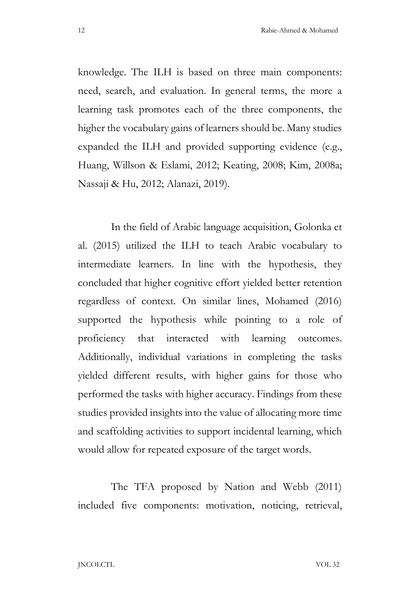knowledge. The ILH is based on three main components: need, search, and evaluation. In general terms, the more a learning task promotes each of the three components, the higher the vocabulary gains of learners should be. Many studies expanded the ILH and provided supporting evidence (e.g., Huang, Willson & Eslami, 2012; Keating, 2008; Kim, 2008a; Nassaji & Hu, 2012; Alanazi, 2019).

In the field of Arabic language acquisition, Golonka et al. (2015) utilized the ILH to teach Arabic vocabulary to intermediate learners. In line with the hypothesis, they concluded that higher cognitive effort yielded better retention regardless of context. On similar lines, Mohamed (2016) supported the hypothesis while pointing to a role of proficiency that interacted with learning outcomes. Additionally, individual variations in completing the tasks yielded different results, with higher gains for those who performed the tasks with higher accuracy. Findings from these studies provided insights into the value of allocating more time and scaffolding activities to support incidental learning, which would allow for repeated exposure of the target words.

The TFA proposed by Nation and Webb (2011) included five components: motivation, noticing, retrieval,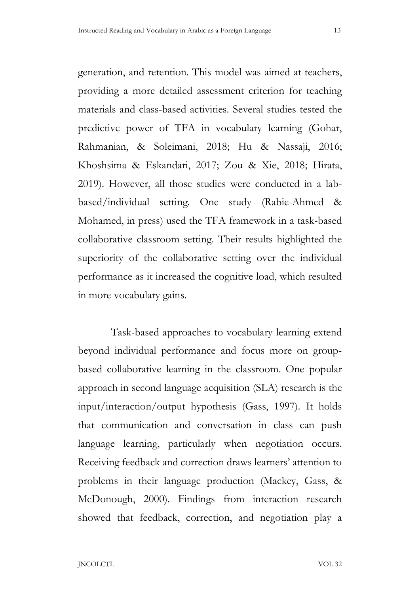generation, and retention. This model was aimed at teachers, providing a more detailed assessment criterion for teaching materials and class-based activities. Several studies tested the predictive power of TFA in vocabulary learning (Gohar, Rahmanian, & Soleimani, 2018; Hu & Nassaji, 2016; Khoshsima & Eskandari, 2017; Zou & Xie, 2018; Hirata, 2019). However, all those studies were conducted in a labbased/individual setting. One study (Rabie-Ahmed & Mohamed, in press) used the TFA framework in a task-based collaborative classroom setting. Their results highlighted the superiority of the collaborative setting over the individual performance as it increased the cognitive load, which resulted in more vocabulary gains.

Task-based approaches to vocabulary learning extend beyond individual performance and focus more on groupbased collaborative learning in the classroom. One popular approach in second language acquisition (SLA) research is the input/interaction/output hypothesis (Gass, 1997). It holds that communication and conversation in class can push language learning, particularly when negotiation occurs. Receiving feedback and correction draws learners' attention to problems in their language production (Mackey, Gass, & McDonough, 2000). Findings from interaction research showed that feedback, correction, and negotiation play a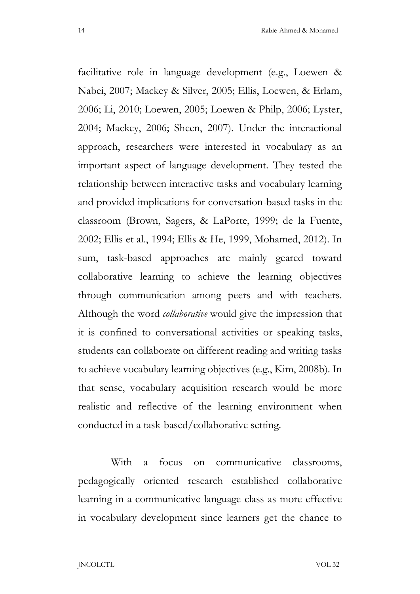With a focus on communicative classrooms, pedagogically oriented research established collaborative learning in a communicative language class as more effective in vocabulary development since learners get the chance to

facilitative role in language development (e.g., Loewen & Nabei, 2007; Mackey & Silver, 2005; Ellis, Loewen, & Erlam, 2006; Li, 2010; Loewen, 2005; Loewen & Philp, 2006; Lyster, 2004; Mackey, 2006; Sheen, 2007). Under the interactional approach, researchers were interested in vocabulary as an important aspect of language development. They tested the relationship between interactive tasks and vocabulary learning and provided implications for conversation-based tasks in the classroom (Brown, Sagers, & LaPorte, 1999; de la Fuente, 2002; Ellis et al., 1994; Ellis & He, 1999, Mohamed, 2012). In sum, task-based approaches are mainly geared toward collaborative learning to achieve the learning objectives through communication among peers and with teachers. Although the word *collaborative* would give the impression that it is confined to conversational activities or speaking tasks, students can collaborate on different reading and writing tasks to achieve vocabulary learning objectives (e.g., Kim, 2008b). In that sense, vocabulary acquisition research would be more realistic and reflective of the learning environment when conducted in a task-based/collaborative setting.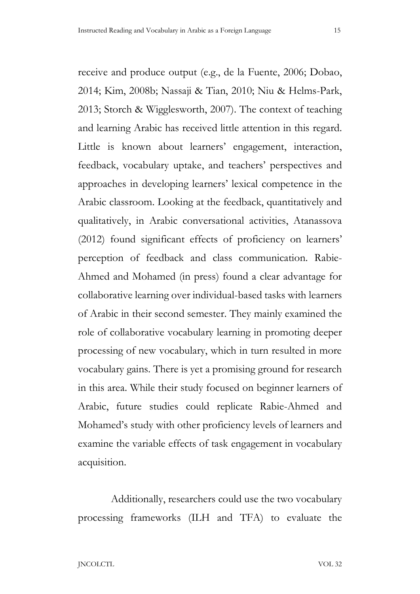receive and produce output (e.g., de la Fuente, 2006; Dobao, 2014; Kim, 2008b; Nassaji & Tian, 2010; Niu & Helms-Park, 2013; Storch & Wigglesworth, 2007). The context of teaching and learning Arabic has received little attention in this regard. Little is known about learners' engagement, interaction, feedback, vocabulary uptake, and teachers' perspectives and approaches in developing learners' lexical competence in the Arabic classroom. Looking at the feedback, quantitatively and qualitatively, in Arabic conversational activities, Atanassova (2012) found significant effects of proficiency on learners' perception of feedback and class communication. Rabie-Ahmed and Mohamed (in press) found a clear advantage for collaborative learning over individual-based tasks with learners of Arabic in their second semester. They mainly examined the role of collaborative vocabulary learning in promoting deeper processing of new vocabulary, which in turn resulted in more vocabulary gains. There is yet a promising ground for research in this area. While their study focused on beginner learners of Arabic, future studies could replicate Rabie-Ahmed and Mohamed's study with other proficiency levels of learners and examine the variable effects of task engagement in vocabulary acquisition.

Additionally, researchers could use the two vocabulary processing frameworks (ILH and TFA) to evaluate the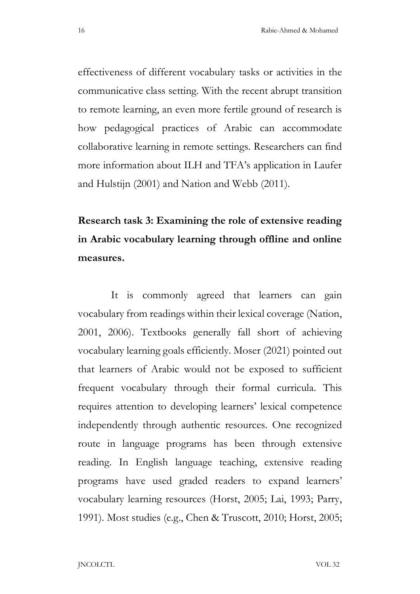effectiveness of different vocabulary tasks or activities in the communicative class setting. With the recent abrupt transition to remote learning, an even more fertile ground of research is how pedagogical practices of Arabic can accommodate collaborative learning in remote settings. Researchers can find more information about ILH and TFA's application in Laufer and Hulstijn (2001) and Nation and Webb (2011).

# Research task 3: Examining the role of extensive reading in Arabic vocabulary learning through offline and online measures.

It is commonly agreed that learners can gain vocabulary from readings within their lexical coverage (Nation, 2001, 2006). Textbooks generally fall short of achieving vocabulary learning goals efficiently. Moser (2021) pointed out that learners of Arabic would not be exposed to sufficient frequent vocabulary through their formal curricula. This requires attention to developing learners' lexical competence independently through authentic resources. One recognized route in language programs has been through extensive reading. In English language teaching, extensive reading programs have used graded readers to expand learners' vocabulary learning resources (Horst, 2005; Lai, 1993; Parry, 1991). Most studies (e.g., Chen & Truscott, 2010; Horst, 2005;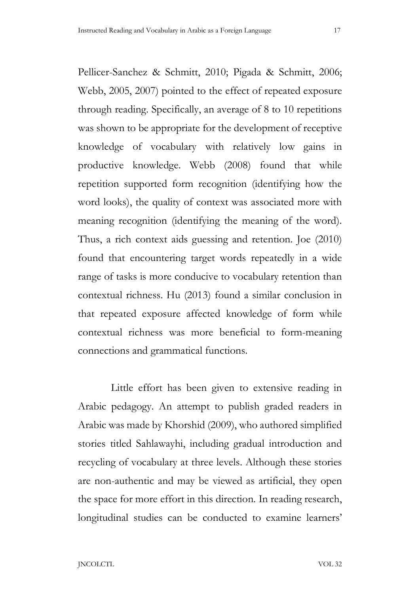Pellicer-Sanchez & Schmitt, 2010; Pigada & Schmitt, 2006; Webb, 2005, 2007) pointed to the effect of repeated exposure through reading. Specifically, an average of 8 to 10 repetitions was shown to be appropriate for the development of receptive knowledge of vocabulary with relatively low gains in productive knowledge. Webb (2008) found that while repetition supported form recognition (identifying how the word looks), the quality of context was associated more with meaning recognition (identifying the meaning of the word). Thus, a rich context aids guessing and retention. Joe (2010) found that encountering target words repeatedly in a wide range of tasks is more conducive to vocabulary retention than contextual richness. Hu (2013) found a similar conclusion in that repeated exposure affected knowledge of form while contextual richness was more beneficial to form-meaning connections and grammatical functions.

 Little effort has been given to extensive reading in Arabic pedagogy. An attempt to publish graded readers in Arabic was made by Khorshid (2009), who authored simplified stories titled Sahlawayhi, including gradual introduction and recycling of vocabulary at three levels. Although these stories are non-authentic and may be viewed as artificial, they open the space for more effort in this direction. In reading research, longitudinal studies can be conducted to examine learners'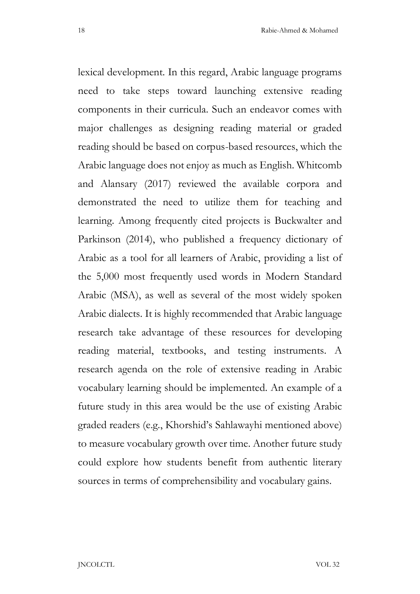lexical development. In this regard, Arabic language programs need to take steps toward launching extensive reading components in their curricula. Such an endeavor comes with major challenges as designing reading material or graded reading should be based on corpus-based resources, which the Arabic language does not enjoy as much as English. Whitcomb and Alansary (2017) reviewed the available corpora and demonstrated the need to utilize them for teaching and learning. Among frequently cited projects is Buckwalter and Parkinson (2014), who published a frequency dictionary of Arabic as a tool for all learners of Arabic, providing a list of the 5,000 most frequently used words in Modern Standard Arabic (MSA), as well as several of the most widely spoken Arabic dialects. It is highly recommended that Arabic language research take advantage of these resources for developing reading material, textbooks, and testing instruments. A research agenda on the role of extensive reading in Arabic vocabulary learning should be implemented. An example of a future study in this area would be the use of existing Arabic graded readers (e.g., Khorshid's Sahlawayhi mentioned above) to measure vocabulary growth over time. Another future study could explore how students benefit from authentic literary sources in terms of comprehensibility and vocabulary gains.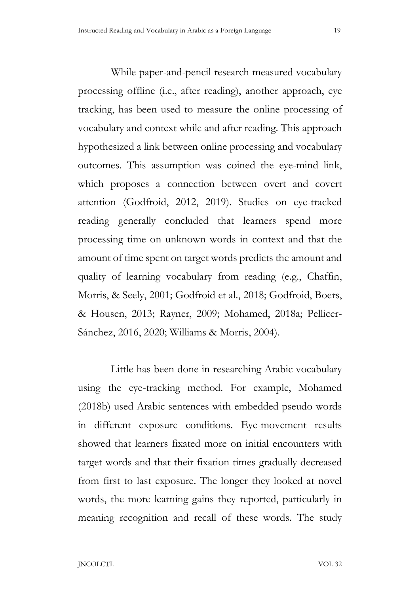While paper-and-pencil research measured vocabulary processing offline (i.e., after reading), another approach, eye tracking, has been used to measure the online processing of vocabulary and context while and after reading. This approach hypothesized a link between online processing and vocabulary outcomes. This assumption was coined the eye-mind link, which proposes a connection between overt and covert attention (Godfroid, 2012, 2019). Studies on eye-tracked reading generally concluded that learners spend more processing time on unknown words in context and that the amount of time spent on target words predicts the amount and quality of learning vocabulary from reading (e.g., Chaffin, Morris, & Seely, 2001; Godfroid et al., 2018; Godfroid, Boers, & Housen, 2013; Rayner, 2009; Mohamed, 2018a; Pellicer-Sánchez, 2016, 2020; Williams & Morris, 2004).

 Little has been done in researching Arabic vocabulary using the eye-tracking method. For example, Mohamed (2018b) used Arabic sentences with embedded pseudo words in different exposure conditions. Eye-movement results showed that learners fixated more on initial encounters with target words and that their fixation times gradually decreased from first to last exposure. The longer they looked at novel words, the more learning gains they reported, particularly in meaning recognition and recall of these words. The study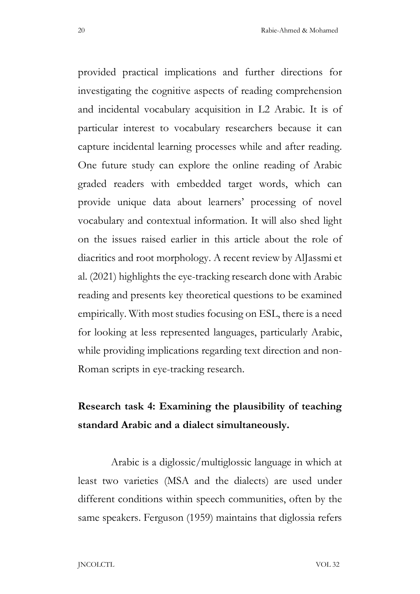provided practical implications and further directions for investigating the cognitive aspects of reading comprehension and incidental vocabulary acquisition in L2 Arabic. It is of particular interest to vocabulary researchers because it can capture incidental learning processes while and after reading. One future study can explore the online reading of Arabic graded readers with embedded target words, which can provide unique data about learners' processing of novel vocabulary and contextual information. It will also shed light on the issues raised earlier in this article about the role of diacritics and root morphology. A recent review by AlJassmi et al. (2021) highlights the eye-tracking research done with Arabic reading and presents key theoretical questions to be examined empirically. With most studies focusing on ESL, there is a need for looking at less represented languages, particularly Arabic, while providing implications regarding text direction and non-Roman scripts in eye-tracking research.

## Research task 4: Examining the plausibility of teaching standard Arabic and a dialect simultaneously.

 Arabic is a diglossic/multiglossic language in which at least two varieties (MSA and the dialects) are used under different conditions within speech communities, often by the same speakers. Ferguson (1959) maintains that diglossia refers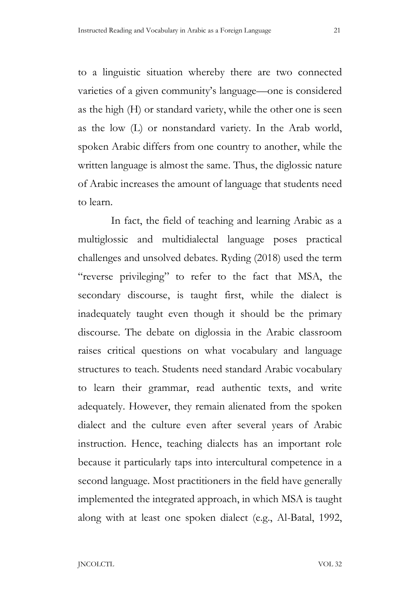to a linguistic situation whereby there are two connected varieties of a given community's language—one is considered as the high (H) or standard variety, while the other one is seen as the low (L) or nonstandard variety. In the Arab world, spoken Arabic differs from one country to another, while the written language is almost the same. Thus, the diglossic nature of Arabic increases the amount of language that students need to learn.

 In fact, the field of teaching and learning Arabic as a multiglossic and multidialectal language poses practical challenges and unsolved debates. Ryding (2018) used the term "reverse privileging" to refer to the fact that MSA, the secondary discourse, is taught first, while the dialect is inadequately taught even though it should be the primary discourse. The debate on diglossia in the Arabic classroom raises critical questions on what vocabulary and language structures to teach. Students need standard Arabic vocabulary to learn their grammar, read authentic texts, and write adequately. However, they remain alienated from the spoken dialect and the culture even after several years of Arabic instruction. Hence, teaching dialects has an important role because it particularly taps into intercultural competence in a second language. Most practitioners in the field have generally implemented the integrated approach, in which MSA is taught along with at least one spoken dialect (e.g., Al-Batal, 1992,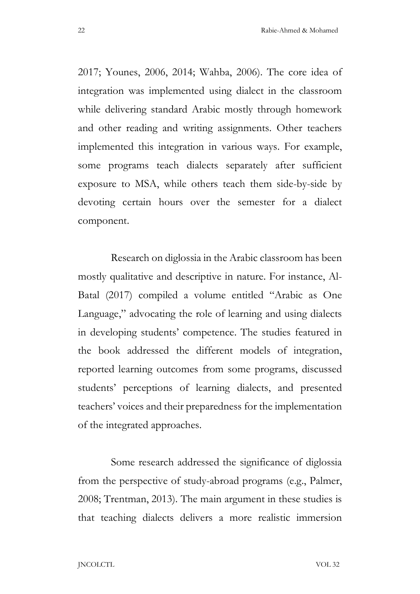2017; Younes, 2006, 2014; Wahba, 2006). The core idea of integration was implemented using dialect in the classroom while delivering standard Arabic mostly through homework and other reading and writing assignments. Other teachers implemented this integration in various ways. For example, some programs teach dialects separately after sufficient exposure to MSA, while others teach them side-by-side by devoting certain hours over the semester for a dialect component.

 Research on diglossia in the Arabic classroom has been mostly qualitative and descriptive in nature. For instance, Al-Batal (2017) compiled a volume entitled "Arabic as One Language," advocating the role of learning and using dialects in developing students' competence. The studies featured in the book addressed the different models of integration, reported learning outcomes from some programs, discussed students' perceptions of learning dialects, and presented teachers' voices and their preparedness for the implementation of the integrated approaches.

 Some research addressed the significance of diglossia from the perspective of study-abroad programs (e.g., Palmer, 2008; Trentman, 2013). The main argument in these studies is that teaching dialects delivers a more realistic immersion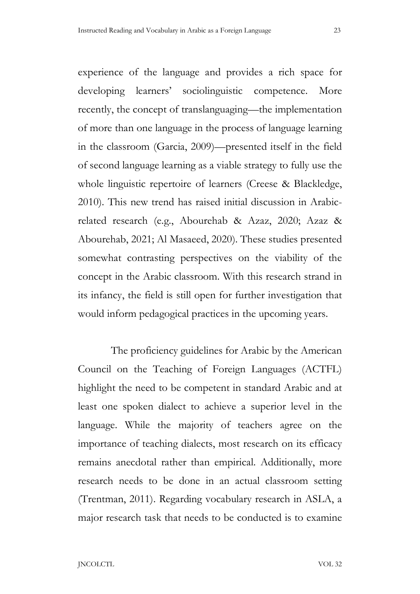experience of the language and provides a rich space for developing learners' sociolinguistic competence. More recently, the concept of translanguaging—the implementation of more than one language in the process of language learning in the classroom (Garcia, 2009)—presented itself in the field of second language learning as a viable strategy to fully use the whole linguistic repertoire of learners (Creese & Blackledge, 2010). This new trend has raised initial discussion in Arabicrelated research (e.g., Abourehab & Azaz, 2020; Azaz & Abourehab, 2021; Al Masaeed, 2020). These studies presented somewhat contrasting perspectives on the viability of the concept in the Arabic classroom. With this research strand in its infancy, the field is still open for further investigation that would inform pedagogical practices in the upcoming years.

 The proficiency guidelines for Arabic by the American Council on the Teaching of Foreign Languages (ACTFL) highlight the need to be competent in standard Arabic and at least one spoken dialect to achieve a superior level in the language. While the majority of teachers agree on the importance of teaching dialects, most research on its efficacy remains anecdotal rather than empirical. Additionally, more research needs to be done in an actual classroom setting (Trentman, 2011). Regarding vocabulary research in ASLA, a major research task that needs to be conducted is to examine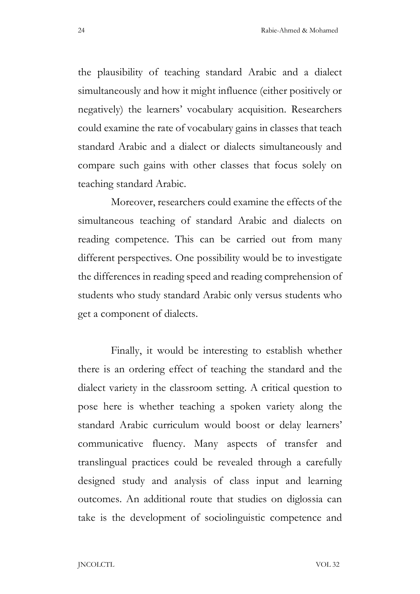the plausibility of teaching standard Arabic and a dialect simultaneously and how it might influence (either positively or negatively) the learners' vocabulary acquisition. Researchers could examine the rate of vocabulary gains in classes that teach standard Arabic and a dialect or dialects simultaneously and compare such gains with other classes that focus solely on teaching standard Arabic.

 Moreover, researchers could examine the effects of the simultaneous teaching of standard Arabic and dialects on reading competence. This can be carried out from many different perspectives. One possibility would be to investigate the differences in reading speed and reading comprehension of students who study standard Arabic only versus students who get a component of dialects.

 Finally, it would be interesting to establish whether there is an ordering effect of teaching the standard and the dialect variety in the classroom setting. A critical question to pose here is whether teaching a spoken variety along the standard Arabic curriculum would boost or delay learners' communicative fluency. Many aspects of transfer and translingual practices could be revealed through a carefully designed study and analysis of class input and learning outcomes. An additional route that studies on diglossia can take is the development of sociolinguistic competence and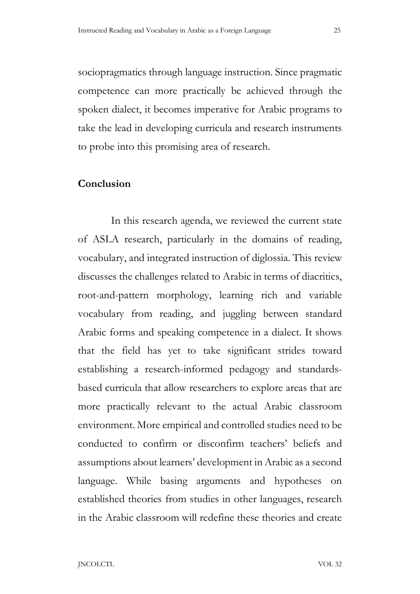sociopragmatics through language instruction. Since pragmatic competence can more practically be achieved through the spoken dialect, it becomes imperative for Arabic programs to take the lead in developing curricula and research instruments to probe into this promising area of research.

### Conclusion

 In this research agenda, we reviewed the current state of ASLA research, particularly in the domains of reading, vocabulary, and integrated instruction of diglossia. This review discusses the challenges related to Arabic in terms of diacritics, root-and-pattern morphology, learning rich and variable vocabulary from reading, and juggling between standard Arabic forms and speaking competence in a dialect. It shows that the field has yet to take significant strides toward establishing a research-informed pedagogy and standardsbased curricula that allow researchers to explore areas that are more practically relevant to the actual Arabic classroom environment. More empirical and controlled studies need to be conducted to confirm or disconfirm teachers' beliefs and assumptions about learners' development in Arabic as a second language. While basing arguments and hypotheses on established theories from studies in other languages, research in the Arabic classroom will redefine these theories and create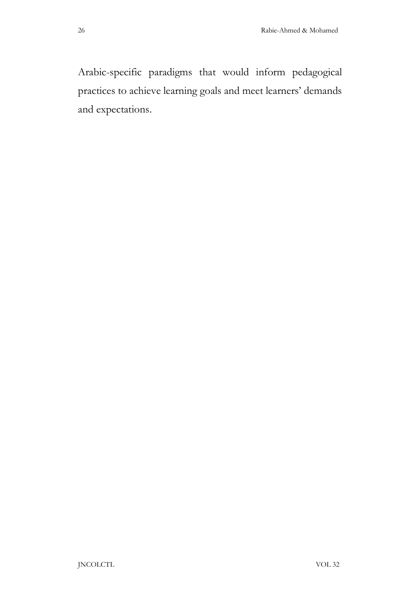Arabic-specific paradigms that would inform pedagogical practices to achieve learning goals and meet learners' demands and expectations.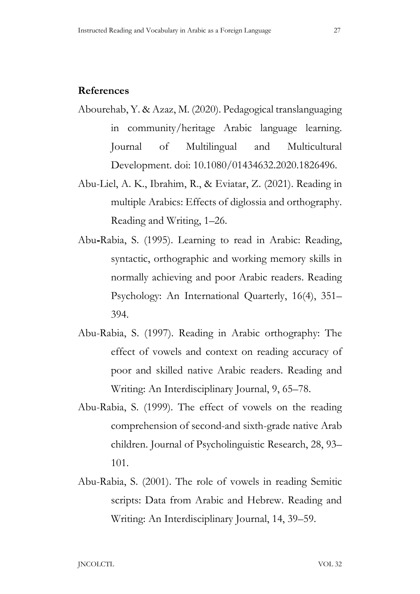### References

- Abourehab, Y. & Azaz, M. (2020). Pedagogical translanguaging in community/heritage Arabic language learning. Journal of Multilingual and Multicultural Development. doi: 10.1080/01434632.2020.1826496.
- Abu-Liel, A. K., Ibrahim, R., & Eviatar, Z. (2021). Reading in multiple Arabics: Effects of diglossia and orthography. Reading and Writing, 1–26.
- Abu Rabia, S. (1995). Learning to read in Arabic: Reading, syntactic, orthographic and working memory skills in normally achieving and poor Arabic readers. Reading Psychology: An International Quarterly, 16(4), 351– 394.
- Abu-Rabia, S. (1997). Reading in Arabic orthography: The effect of vowels and context on reading accuracy of poor and skilled native Arabic readers. Reading and Writing: An Interdisciplinary Journal, 9, 65–78.
- Abu-Rabia, S. (1999). The effect of vowels on the reading comprehension of second-and sixth-grade native Arab children. Journal of Psycholinguistic Research, 28, 93– 101.
- Abu-Rabia, S. (2001). The role of vowels in reading Semitic scripts: Data from Arabic and Hebrew. Reading and Writing: An Interdisciplinary Journal, 14, 39–59.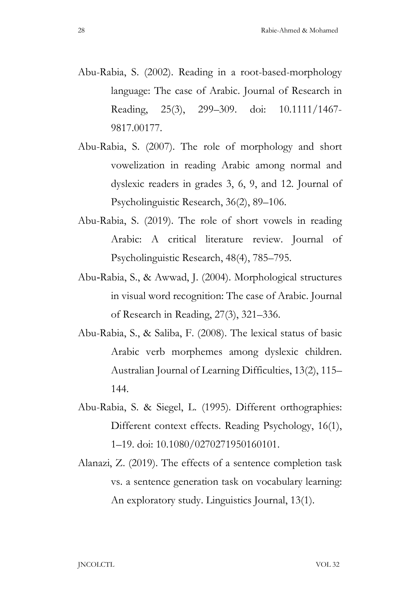- Abu-Rabia, S. (2002). Reading in a root-based-morphology language: The case of Arabic. Journal of Research in Reading, 25(3), 299–309. doi: 10.1111/1467- 9817.00177.
- Abu-Rabia, S. (2007). The role of morphology and short vowelization in reading Arabic among normal and dyslexic readers in grades 3, 6, 9, and 12. Journal of Psycholinguistic Research, 36(2), 89–106.
- Abu-Rabia, S. (2019). The role of short vowels in reading Arabic: A critical literature review. Journal of Psycholinguistic Research, 48(4), 785–795.
- Abu Rabia, S., & Awwad, J. (2004). Morphological structures in visual word recognition: The case of Arabic. Journal of Research in Reading, 27(3), 321–336.
- Abu-Rabia, S., & Saliba, F. (2008). The lexical status of basic Arabic verb morphemes among dyslexic children. Australian Journal of Learning Difficulties, 13(2), 115– 144.
- Abu-Rabia, S. & Siegel, L. (1995). Different orthographies: Different context effects. Reading Psychology, 16(1), 1–19. doi: 10.1080/0270271950160101.
- Alanazi, Z. (2019). The effects of a sentence completion task vs. a sentence generation task on vocabulary learning: An exploratory study. Linguistics Journal, 13(1).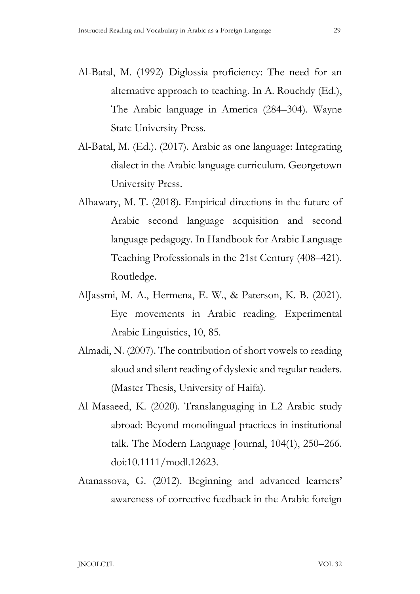- Al-Batal, M. (1992) Diglossia proficiency: The need for an alternative approach to teaching. In A. Rouchdy (Ed.), The Arabic language in America (284–304). Wayne State University Press.
- Al-Batal, M. (Ed.). (2017). Arabic as one language: Integrating dialect in the Arabic language curriculum. Georgetown University Press.
- Alhawary, M. T. (2018). Empirical directions in the future of Arabic second language acquisition and second language pedagogy. In Handbook for Arabic Language Teaching Professionals in the 21st Century (408–421). Routledge.
- AlJassmi, M. A., Hermena, E. W., & Paterson, K. B. (2021). Eye movements in Arabic reading. Experimental Arabic Linguistics, 10, 85.
- Almadi, N. (2007). The contribution of short vowels to reading aloud and silent reading of dyslexic and regular readers. (Master Thesis, University of Haifa).
- Al Masaeed, K. (2020). Translanguaging in L2 Arabic study abroad: Beyond monolingual practices in institutional talk. The Modern Language Journal, 104(1), 250–266. doi:10.1111/modl.12623.
- Atanassova, G. (2012). Beginning and advanced learners' awareness of corrective feedback in the Arabic foreign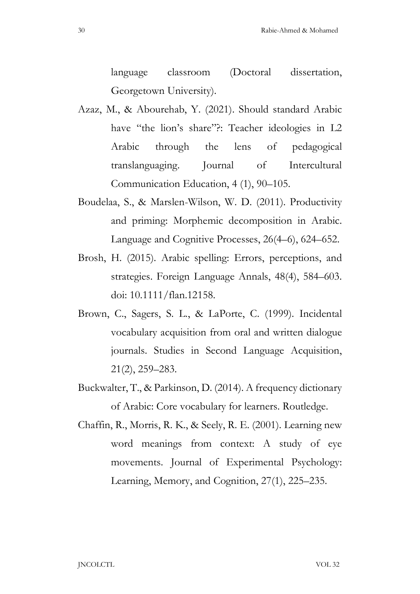language classroom (Doctoral dissertation, Georgetown University).

- Azaz, M., & Abourehab, Y. (2021). Should standard Arabic have "the lion's share"?: Teacher ideologies in L2 Arabic through the lens of pedagogical translanguaging. Journal of Intercultural Communication Education, 4 (1), 90–105.
- Boudelaa, S., & Marslen-Wilson, W. D. (2011). Productivity and priming: Morphemic decomposition in Arabic. Language and Cognitive Processes, 26(4–6), 624–652.
- Brosh, H. (2015). Arabic spelling: Errors, perceptions, and strategies. Foreign Language Annals, 48(4), 584–603. doi: 10.1111/flan.12158.
- Brown, C., Sagers, S. L., & LaPorte, C. (1999). Incidental vocabulary acquisition from oral and written dialogue journals. Studies in Second Language Acquisition, 21(2), 259–283.
- Buckwalter, T., & Parkinson, D. (2014). A frequency dictionary of Arabic: Core vocabulary for learners. Routledge.
- Chaffin, R., Morris, R. K., & Seely, R. E. (2001). Learning new word meanings from context: A study of eye movements. Journal of Experimental Psychology: Learning, Memory, and Cognition, 27(1), 225–235.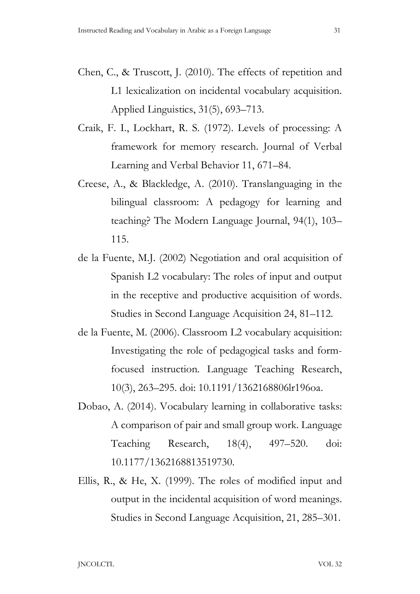- Chen, C., & Truscott, J. (2010). The effects of repetition and L1 lexicalization on incidental vocabulary acquisition. Applied Linguistics, 31(5), 693–713.
- Craik, F. I., Lockhart, R. S. (1972). Levels of processing: A framework for memory research. Journal of Verbal Learning and Verbal Behavior 11, 671–84.
- Creese, A., & Blackledge, A. (2010). Translanguaging in the bilingual classroom: A pedagogy for learning and teaching? The Modern Language Journal, 94(1), 103– 115.
- de la Fuente, M.J. (2002) Negotiation and oral acquisition of Spanish L2 vocabulary: The roles of input and output in the receptive and productive acquisition of words. Studies in Second Language Acquisition 24, 81–112.
- de la Fuente, M. (2006). Classroom L2 vocabulary acquisition: Investigating the role of pedagogical tasks and formfocused instruction. Language Teaching Research, 10(3), 263–295. doi: 10.1191/1362168806lr196oa.
- Dobao, A. (2014). Vocabulary learning in collaborative tasks: A comparison of pair and small group work. Language Teaching Research, 18(4), 497–520. doi: 10.1177/1362168813519730.
- Ellis, R., & He, X. (1999). The roles of modified input and output in the incidental acquisition of word meanings. Studies in Second Language Acquisition, 21, 285–301.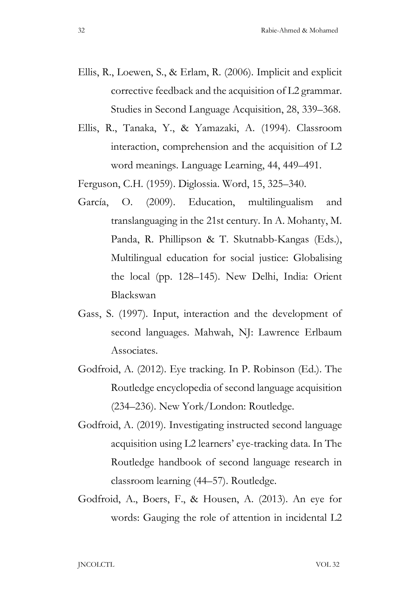- Ellis, R., Loewen, S., & Erlam, R. (2006). Implicit and explicit corrective feedback and the acquisition of L2 grammar. Studies in Second Language Acquisition, 28, 339–368.
- Ellis, R., Tanaka, Y., & Yamazaki, A. (1994). Classroom interaction, comprehension and the acquisition of L2 word meanings. Language Learning, 44, 449–491.

Ferguson, C.H. (1959). Diglossia. Word, 15, 325–340.

- García, O. (2009). Education, multilingualism and translanguaging in the 21st century. In A. Mohanty, M. Panda, R. Phillipson & T. Skutnabb-Kangas (Eds.), Multilingual education for social justice: Globalising the local (pp. 128–145). New Delhi, India: Orient Blackswan
- Gass, S. (1997). Input, interaction and the development of second languages. Mahwah, NJ: Lawrence Erlbaum Associates.
- Godfroid, A. (2012). Eye tracking. In P. Robinson (Ed.). The Routledge encyclopedia of second language acquisition (234–236). New York/London: Routledge.
- Godfroid, A. (2019). Investigating instructed second language acquisition using L2 learners' eye-tracking data. In The Routledge handbook of second language research in classroom learning (44–57). Routledge.
- Godfroid, A., Boers, F., & Housen, A. (2013). An eye for words: Gauging the role of attention in incidental L2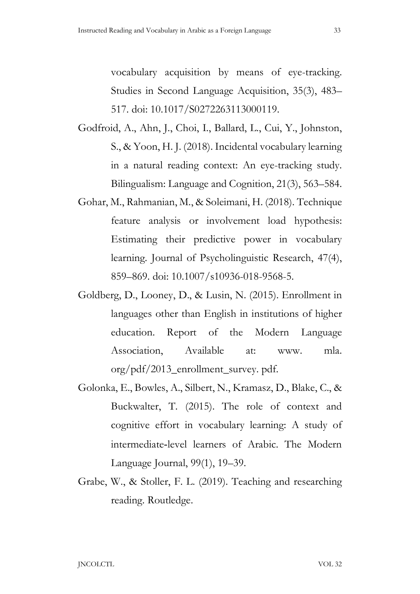vocabulary acquisition by means of eye-tracking. Studies in Second Language Acquisition, 35(3), 483– 517. doi: 10.1017/S0272263113000119.

- Godfroid, A., Ahn, J., Choi, I., Ballard, L., Cui, Y., Johnston, S., & Yoon, H. J. (2018). Incidental vocabulary learning in a natural reading context: An eye-tracking study. Bilingualism: Language and Cognition, 21(3), 563–584.
- Gohar, M., Rahmanian, M., & Soleimani, H. (2018). Technique feature analysis or involvement load hypothesis: Estimating their predictive power in vocabulary learning. Journal of Psycholinguistic Research, 47(4), 859–869. doi: 10.1007/s10936-018-9568-5.
- Goldberg, D., Looney, D., & Lusin, N. (2015). Enrollment in languages other than English in institutions of higher education. Report of the Modern Language Association, Available at: www. mla. org/pdf/2013\_enrollment\_survey. pdf.
- Golonka, E., Bowles, A., Silbert, N., Kramasz, D., Blake, C., & Buckwalter, T. (2015). The role of context and cognitive effort in vocabulary learning: A study of intermediate level learners of Arabic. The Modern Language Journal, 99(1), 19–39.
- Grabe, W., & Stoller, F. L. (2019). Teaching and researching reading. Routledge.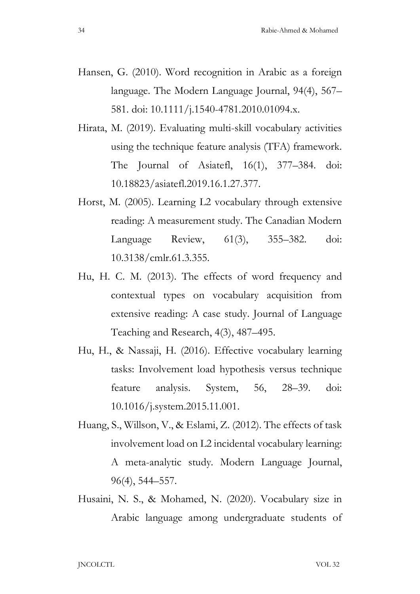- Hansen, G. (2010). Word recognition in Arabic as a foreign language. The Modern Language Journal, 94(4), 567– 581. doi: 10.1111/j.1540-4781.2010.01094.x.
- Hirata, M. (2019). Evaluating multi-skill vocabulary activities using the technique feature analysis (TFA) framework. The Journal of Asiatefl, 16(1), 377–384. doi: 10.18823/asiatefl.2019.16.1.27.377.
- Horst, M. (2005). Learning L2 vocabulary through extensive reading: A measurement study. The Canadian Modern Language Review, 61(3), 355–382. doi: 10.3138/cmlr.61.3.355.
- Hu, H. C. M. (2013). The effects of word frequency and contextual types on vocabulary acquisition from extensive reading: A case study. Journal of Language Teaching and Research, 4(3), 487–495.
- Hu, H., & Nassaji, H. (2016). Effective vocabulary learning tasks: Involvement load hypothesis versus technique feature analysis. System, 56, 28–39. doi: 10.1016/j.system.2015.11.001.
- Huang, S., Willson, V., & Eslami, Z. (2012). The effects of task involvement load on L2 incidental vocabulary learning: A meta-analytic study. Modern Language Journal, 96(4), 544–557.
- Husaini, N. S., & Mohamed, N. (2020). Vocabulary size in Arabic language among undergraduate students of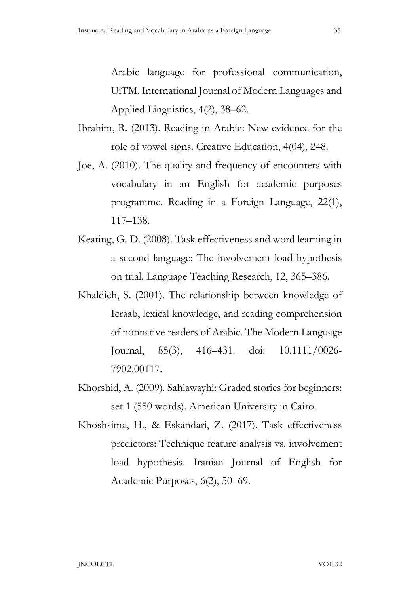Arabic language for professional communication, UiTM. International Journal of Modern Languages and Applied Linguistics, 4(2), 38–62.

- Ibrahim, R. (2013). Reading in Arabic: New evidence for the role of vowel signs. Creative Education, 4(04), 248.
- Joe, A. (2010). The quality and frequency of encounters with vocabulary in an English for academic purposes programme. Reading in a Foreign Language, 22(1), 117–138.
- Keating, G. D. (2008). Task effectiveness and word learning in a second language: The involvement load hypothesis on trial. Language Teaching Research, 12, 365–386.
- Khaldieh, S. (2001). The relationship between knowledge of Icraab, lexical knowledge, and reading comprehension of nonnative readers of Arabic. The Modern Language Journal, 85(3), 416–431. doi: 10.1111/0026- 7902.00117.
- Khorshid, A. (2009). Sahlawayhi: Graded stories for beginners: set 1 (550 words). American University in Cairo.
- Khoshsima, H., & Eskandari, Z. (2017). Task effectiveness predictors: Technique feature analysis vs. involvement load hypothesis. Iranian Journal of English for Academic Purposes, 6(2), 50–69.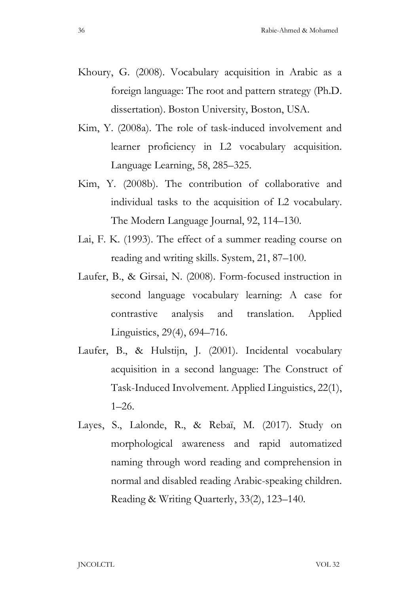- Khoury, G. (2008). Vocabulary acquisition in Arabic as a foreign language: The root and pattern strategy (Ph.D. dissertation). Boston University, Boston, USA.
- Kim, Y. (2008a). The role of task-induced involvement and learner proficiency in L2 vocabulary acquisition. Language Learning, 58, 285–325.
- Kim, Y. (2008b). The contribution of collaborative and individual tasks to the acquisition of L2 vocabulary. The Modern Language Journal, 92, 114–130.
- Lai, F. K. (1993). The effect of a summer reading course on reading and writing skills. System, 21, 87–100.
- Laufer, B., & Girsai, N. (2008). Form-focused instruction in second language vocabulary learning: A case for contrastive analysis and translation. Applied Linguistics, 29(4), 694–716.
- Laufer, B., & Hulstijn, J. (2001). Incidental vocabulary acquisition in a second language: The Construct of Task-Induced Involvement. Applied Linguistics, 22(1),  $1-26$ .
- Layes, S., Lalonde, R., & Rebaï, M. (2017). Study on morphological awareness and rapid automatized naming through word reading and comprehension in normal and disabled reading Arabic-speaking children. Reading & Writing Quarterly, 33(2), 123–140.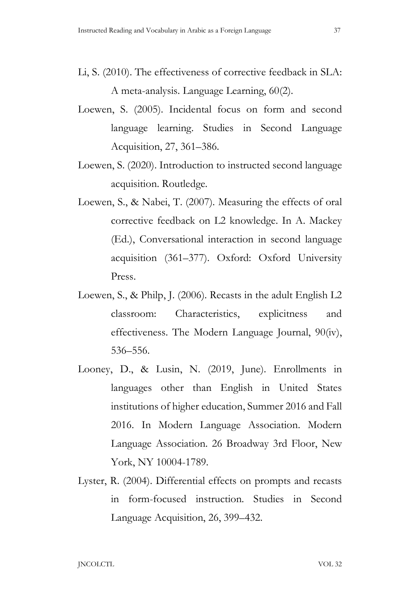- Li, S. (2010). The effectiveness of corrective feedback in SLA: A meta-analysis. Language Learning, 60(2).
- Loewen, S. (2005). Incidental focus on form and second language learning. Studies in Second Language Acquisition, 27, 361–386.
- Loewen, S. (2020). Introduction to instructed second language acquisition. Routledge.
- Loewen, S., & Nabei, T. (2007). Measuring the effects of oral corrective feedback on L2 knowledge. In A. Mackey (Ed.), Conversational interaction in second language acquisition (361–377). Oxford: Oxford University Press.
- Loewen, S., & Philp, J. (2006). Recasts in the adult English L2 classroom: Characteristics, explicitness and effectiveness. The Modern Language Journal, 90(iv), 536–556.
- Looney, D., & Lusin, N. (2019, June). Enrollments in languages other than English in United States institutions of higher education, Summer 2016 and Fall 2016. In Modern Language Association. Modern Language Association. 26 Broadway 3rd Floor, New York, NY 10004-1789.
- Lyster, R. (2004). Differential effects on prompts and recasts in form-focused instruction. Studies in Second Language Acquisition, 26, 399–432.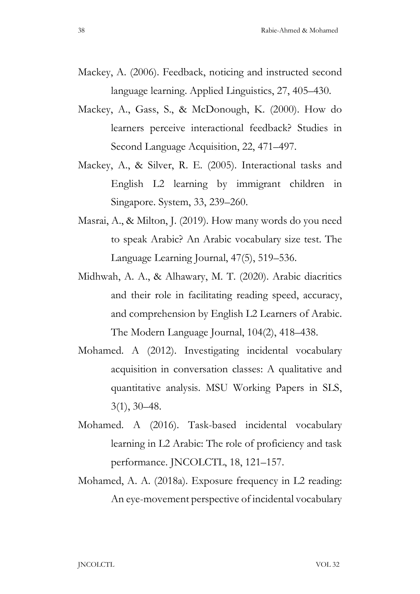- Mackey, A. (2006). Feedback, noticing and instructed second language learning. Applied Linguistics, 27, 405–430.
- Mackey, A., Gass, S., & McDonough, K. (2000). How do learners perceive interactional feedback? Studies in Second Language Acquisition, 22, 471–497.
- Mackey, A., & Silver, R. E. (2005). Interactional tasks and English L2 learning by immigrant children in Singapore. System, 33, 239–260.
- Masrai, A., & Milton, J. (2019). How many words do you need to speak Arabic? An Arabic vocabulary size test. The Language Learning Journal, 47(5), 519–536.
- Midhwah, A. A., & Alhawary, M. T. (2020). Arabic diacritics and their role in facilitating reading speed, accuracy, and comprehension by English L2 Learners of Arabic. The Modern Language Journal, 104(2), 418–438.
- Mohamed. A (2012). Investigating incidental vocabulary acquisition in conversation classes: A qualitative and quantitative analysis. MSU Working Papers in SLS, 3(1), 30–48.
- Mohamed. A (2016). Task-based incidental vocabulary learning in L2 Arabic: The role of proficiency and task performance. JNCOLCTL, 18, 121–157.
- Mohamed, A. A. (2018a). Exposure frequency in L2 reading: An eye-movement perspective of incidental vocabulary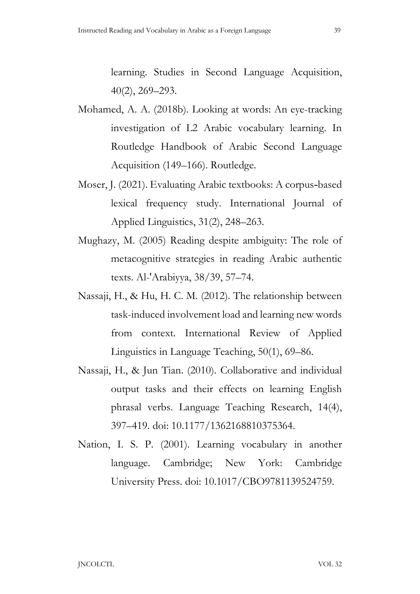learning. Studies in Second Language Acquisition, 40(2), 269–293.

- Mohamed, A. A. (2018b). Looking at words: An eye-tracking investigation of L2 Arabic vocabulary learning. In Routledge Handbook of Arabic Second Language Acquisition (149–166). Routledge.
- Moser, J. (2021). Evaluating Arabic textbooks: A corpus based lexical frequency study. International Journal of Applied Linguistics, 31(2), 248–263.
- Mughazy, M. (2005) Reading despite ambiguity: The role of metacognitive strategies in reading Arabic authentic texts. Al-'Arabiyya, 38/39, 57–74.
- Nassaji, H., & Hu, H. C. M. (2012). The relationship between task-induced involvement load and learning new words from context. International Review of Applied Linguistics in Language Teaching, 50(1), 69–86.
- Nassaji, H., & Jun Tian. (2010). Collaborative and individual output tasks and their effects on learning English phrasal verbs. Language Teaching Research, 14(4), 397–419. doi: 10.1177/1362168810375364.
- Nation, I. S. P. (2001). Learning vocabulary in another language. Cambridge; New York: Cambridge University Press. doi: 10.1017/CBO9781139524759.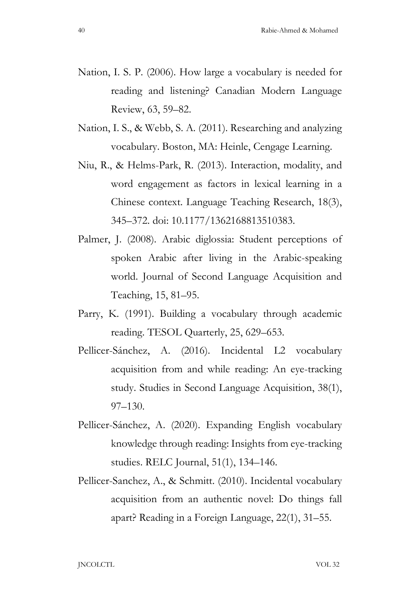- Nation, I. S. P. (2006). How large a vocabulary is needed for reading and listening? Canadian Modern Language Review, 63, 59–82.
- Nation, I. S., & Webb, S. A. (2011). Researching and analyzing vocabulary. Boston, MA: Heinle, Cengage Learning.
- Niu, R., & Helms-Park, R. (2013). Interaction, modality, and word engagement as factors in lexical learning in a Chinese context. Language Teaching Research, 18(3), 345–372. doi: 10.1177/1362168813510383.
- Palmer, J. (2008). Arabic diglossia: Student perceptions of spoken Arabic after living in the Arabic-speaking world. Journal of Second Language Acquisition and Teaching, 15, 81–95.
- Parry, K. (1991). Building a vocabulary through academic reading. TESOL Quarterly, 25, 629–653.
- Pellicer-Sánchez, A. (2016). Incidental L2 vocabulary acquisition from and while reading: An eye-tracking study. Studies in Second Language Acquisition, 38(1), 97–130.
- Pellicer-Sánchez, A. (2020). Expanding English vocabulary knowledge through reading: Insights from eye-tracking studies. RELC Journal, 51(1), 134–146.
- Pellicer-Sanchez, A., & Schmitt. (2010). Incidental vocabulary acquisition from an authentic novel: Do things fall apart? Reading in a Foreign Language, 22(1), 31–55.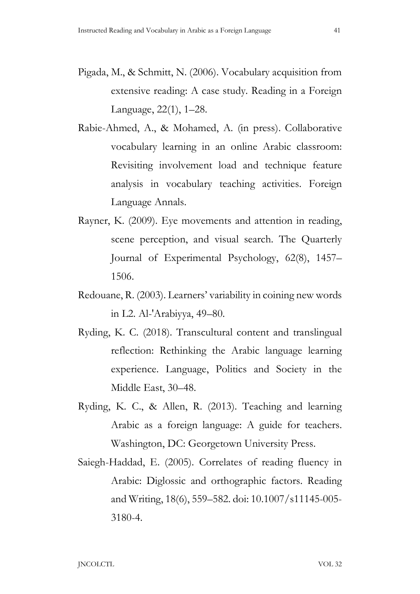- Pigada, M., & Schmitt, N. (2006). Vocabulary acquisition from extensive reading: A case study. Reading in a Foreign Language, 22(1), 1–28.
- Rabie-Ahmed, A., & Mohamed, A. (in press). Collaborative vocabulary learning in an online Arabic classroom: Revisiting involvement load and technique feature analysis in vocabulary teaching activities. Foreign Language Annals.
- Rayner, K. (2009). Eye movements and attention in reading, scene perception, and visual search. The Quarterly Journal of Experimental Psychology, 62(8), 1457– 1506.
- Redouane, R. (2003). Learners' variability in coining new words in L2. Al-'Arabiyya, 49–80.
- Ryding, K. C. (2018). Transcultural content and translingual reflection: Rethinking the Arabic language learning experience. Language, Politics and Society in the Middle East, 30–48.
- Ryding, K. C., & Allen, R. (2013). Teaching and learning Arabic as a foreign language: A guide for teachers. Washington, DC: Georgetown University Press.
- Saiegh-Haddad, E. (2005). Correlates of reading fluency in Arabic: Diglossic and orthographic factors. Reading and Writing, 18(6), 559–582. doi: 10.1007/s11145-005- 3180-4.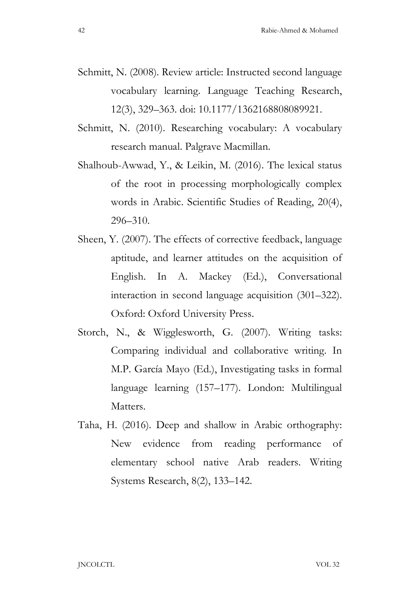- Schmitt, N. (2008). Review article: Instructed second language vocabulary learning. Language Teaching Research, 12(3), 329–363. doi: 10.1177/1362168808089921.
- Schmitt, N. (2010). Researching vocabulary: A vocabulary research manual. Palgrave Macmillan.
- Shalhoub-Awwad, Y., & Leikin, M. (2016). The lexical status of the root in processing morphologically complex words in Arabic. Scientific Studies of Reading, 20(4), 296–310.
- Sheen, Y. (2007). The effects of corrective feedback, language aptitude, and learner attitudes on the acquisition of English. In A. Mackey (Ed.), Conversational interaction in second language acquisition (301–322). Oxford: Oxford University Press.
- Storch, N., & Wigglesworth, G. (2007). Writing tasks: Comparing individual and collaborative writing. In M.P. García Mayo (Ed.), Investigating tasks in formal language learning (157–177). London: Multilingual Matters.
- Taha, H. (2016). Deep and shallow in Arabic orthography: New evidence from reading performance of elementary school native Arab readers. Writing Systems Research, 8(2), 133–142.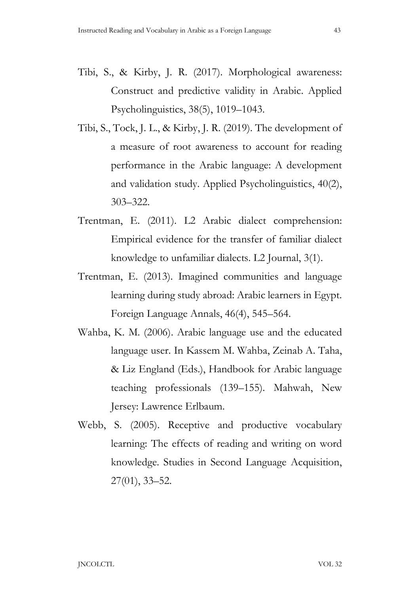- Tibi, S., & Kirby, J. R. (2017). Morphological awareness: Construct and predictive validity in Arabic. Applied Psycholinguistics, 38(5), 1019–1043.
- Tibi, S., Tock, J. L., & Kirby, J. R. (2019). The development of a measure of root awareness to account for reading performance in the Arabic language: A development and validation study. Applied Psycholinguistics, 40(2), 303–322.
- Trentman, E. (2011). L2 Arabic dialect comprehension: Empirical evidence for the transfer of familiar dialect knowledge to unfamiliar dialects. L2 Journal, 3(1).
- Trentman, E. (2013). Imagined communities and language learning during study abroad: Arabic learners in Egypt. Foreign Language Annals, 46(4), 545–564.
- Wahba, K. M. (2006). Arabic language use and the educated language user. In Kassem M. Wahba, Zeinab A. Taha, & Liz England (Eds.), Handbook for Arabic language teaching professionals (139–155). Mahwah, New Jersey: Lawrence Erlbaum.
- Webb, S. (2005). Receptive and productive vocabulary learning: The effects of reading and writing on word knowledge. Studies in Second Language Acquisition, 27(01), 33–52.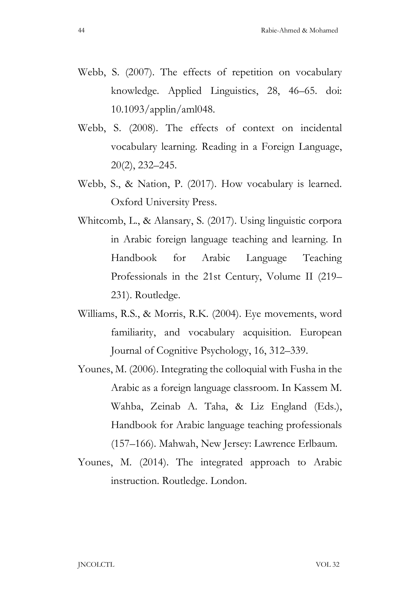- Webb, S. (2007). The effects of repetition on vocabulary knowledge. Applied Linguistics, 28, 46–65. doi: 10.1093/applin/aml048.
- Webb, S. (2008). The effects of context on incidental vocabulary learning. Reading in a Foreign Language, 20(2), 232–245.
- Webb, S., & Nation, P. (2017). How vocabulary is learned. Oxford University Press.
- Whitcomb, L., & Alansary, S. (2017). Using linguistic corpora in Arabic foreign language teaching and learning. In Handbook for Arabic Language Teaching Professionals in the 21st Century, Volume II (219– 231). Routledge.
- Williams, R.S., & Morris, R.K. (2004). Eye movements, word familiarity, and vocabulary acquisition. European Journal of Cognitive Psychology, 16, 312–339.
- Younes, M. (2006). Integrating the colloquial with Fusha in the Arabic as a foreign language classroom. In Kassem M. Wahba, Zeinab A. Taha, & Liz England (Eds.), Handbook for Arabic language teaching professionals (157–166). Mahwah, New Jersey: Lawrence Erlbaum.
- Younes, M. (2014). The integrated approach to Arabic instruction. Routledge. London.